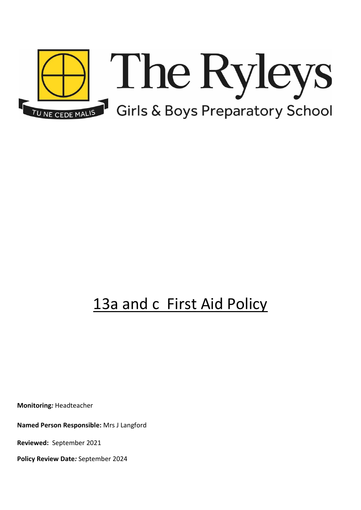

# 13a and c First Aid Policy

**Monitoring***:* Headteacher

**Named Person Responsible:** Mrs J Langford

**Reviewed:** September 2021

**Policy Review Date***:* September 2024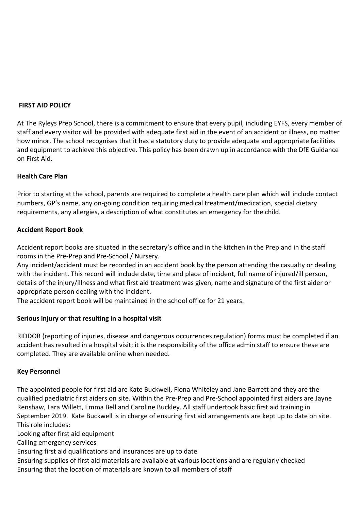#### **FIRST AID POLICY**

At The Ryleys Prep School, there is a commitment to ensure that every pupil, including EYFS, every member of staff and every visitor will be provided with adequate first aid in the event of an accident or illness, no matter how minor. The school recognises that it has a statutory duty to provide adequate and appropriate facilities and equipment to achieve this objective. This policy has been drawn up in accordance with the DfE Guidance on First Aid.

## **Health Care Plan**

Prior to starting at the school, parents are required to complete a health care plan which will include contact numbers, GP's name, any on-going condition requiring medical treatment/medication, special dietary requirements, any allergies, a description of what constitutes an emergency for the child.

#### **Accident Report Book**

Accident report books are situated in the secretary's office and in the kitchen in the Prep and in the staff rooms in the Pre-Prep and Pre-School / Nursery.

Any incident/accident must be recorded in an accident book by the person attending the casualty or dealing with the incident. This record will include date, time and place of incident, full name of injured/ill person, details of the injury/illness and what first aid treatment was given, name and signature of the first aider or appropriate person dealing with the incident.

The accident report book will be maintained in the school office for 21 years.

## **Serious injury or that resulting in a hospital visit**

RIDDOR (reporting of injuries, disease and dangerous occurrences regulation) forms must be completed if an accident has resulted in a hospital visit; it is the responsibility of the office admin staff to ensure these are completed. They are available online when needed.

#### **Key Personnel**

The appointed people for first aid are Kate Buckwell, Fiona Whiteley and Jane Barrett and they are the qualified paediatric first aiders on site. Within the Pre-Prep and Pre-School appointed first aiders are Jayne Renshaw, Lara Willett, Emma Bell and Caroline Buckley. All staff undertook basic first aid training in September 2019. Kate Buckwell is in charge of ensuring first aid arrangements are kept up to date on site. This role includes:

Looking after first aid equipment

Calling emergency services

Ensuring first aid qualifications and insurances are up to date

Ensuring supplies of first aid materials are available at various locations and are regularly checked Ensuring that the location of materials are known to all members of staff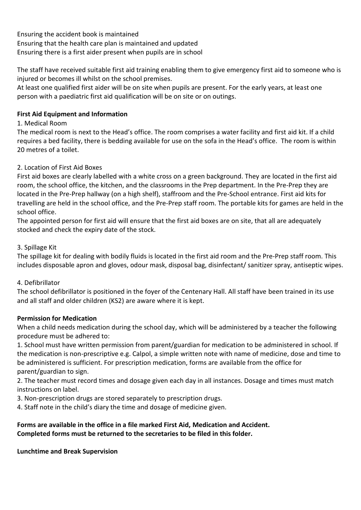Ensuring the accident book is maintained Ensuring that the health care plan is maintained and updated Ensuring there is a first aider present when pupils are in school

The staff have received suitable first aid training enabling them to give emergency first aid to someone who is injured or becomes ill whilst on the school premises.

At least one qualified first aider will be on site when pupils are present. For the early years, at least one person with a paediatric first aid qualification will be on site or on outings.

## **First Aid Equipment and Information**

## 1. Medical Room

The medical room is next to the Head's office. The room comprises a water facility and first aid kit. If a child requires a bed facility, there is bedding available for use on the sofa in the Head's office. The room is within 20 metres of a toilet.

## 2. Location of First Aid Boxes

First aid boxes are clearly labelled with a white cross on a green background. They are located in the first aid room, the school office, the kitchen, and the classrooms in the Prep department. In the Pre-Prep they are located in the Pre-Prep hallway (on a high shelf), staffroom and the Pre-School entrance. First aid kits for travelling are held in the school office, and the Pre-Prep staff room. The portable kits for games are held in the school office.

The appointed person for first aid will ensure that the first aid boxes are on site, that all are adequately stocked and check the expiry date of the stock.

## 3. Spillage Kit

The spillage kit for dealing with bodily fluids is located in the first aid room and the Pre-Prep staff room. This includes disposable apron and gloves, odour mask, disposal bag, disinfectant/ sanitizer spray, antiseptic wipes.

## 4. Defibrillator

The school defibrillator is positioned in the foyer of the Centenary Hall. All staff have been trained in its use and all staff and older children (KS2) are aware where it is kept.

## **Permission for Medication**

When a child needs medication during the school day, which will be administered by a teacher the following procedure must be adhered to:

1. School must have written permission from parent/guardian for medication to be administered in school. If the medication is non-prescriptive e.g. Calpol, a simple written note with name of medicine, dose and time to be administered is sufficient. For prescription medication, forms are available from the office for parent/guardian to sign.

2. The teacher must record times and dosage given each day in all instances. Dosage and times must match instructions on label.

3. Non-prescription drugs are stored separately to prescription drugs.

4. Staff note in the child's diary the time and dosage of medicine given.

## **Forms are available in the office in a file marked First Aid, Medication and Accident. Completed forms must be returned to the secretaries to be filed in this folder.**

## **Lunchtime and Break Supervision**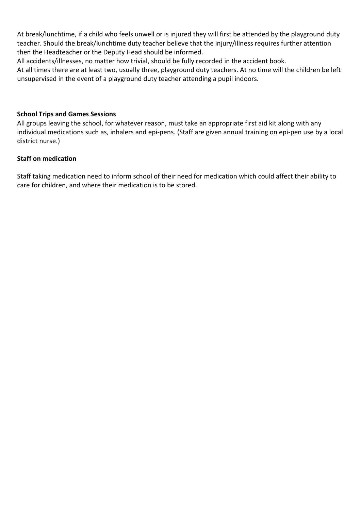At break/lunchtime, if a child who feels unwell or is injured they will first be attended by the playground duty teacher. Should the break/lunchtime duty teacher believe that the injury/illness requires further attention then the Headteacher or the Deputy Head should be informed.

All accidents/illnesses, no matter how trivial, should be fully recorded in the accident book.

At all times there are at least two, usually three, playground duty teachers. At no time will the children be left unsupervised in the event of a playground duty teacher attending a pupil indoors.

## **School Trips and Games Sessions**

All groups leaving the school, for whatever reason, must take an appropriate first aid kit along with any individual medications such as, inhalers and epi-pens. (Staff are given annual training on epi-pen use by a local district nurse.)

#### **Staff on medication**

Staff taking medication need to inform school of their need for medication which could affect their ability to care for children, and where their medication is to be stored.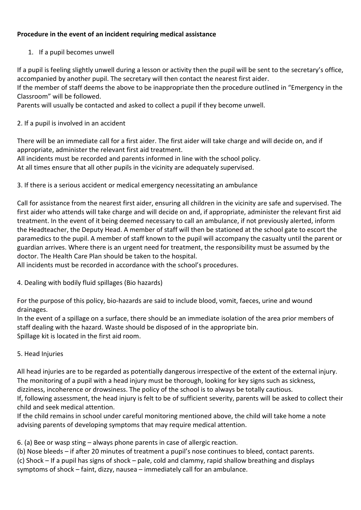## **Procedure in the event of an incident requiring medical assistance**

## 1. If a pupil becomes unwell

If a pupil is feeling slightly unwell during a lesson or activity then the pupil will be sent to the secretary's office, accompanied by another pupil. The secretary will then contact the nearest first aider.

If the member of staff deems the above to be inappropriate then the procedure outlined in "Emergency in the Classroom" will be followed.

Parents will usually be contacted and asked to collect a pupil if they become unwell.

## 2. If a pupil is involved in an accident

There will be an immediate call for a first aider. The first aider will take charge and will decide on, and if appropriate, administer the relevant first aid treatment.

All incidents must be recorded and parents informed in line with the school policy.

At all times ensure that all other pupils in the vicinity are adequately supervised.

## 3. If there is a serious accident or medical emergency necessitating an ambulance

Call for assistance from the nearest first aider, ensuring all children in the vicinity are safe and supervised. The first aider who attends will take charge and will decide on and, if appropriate, administer the relevant first aid treatment. In the event of it being deemed necessary to call an ambulance, if not previously alerted, inform the Headteacher, the Deputy Head. A member of staff will then be stationed at the school gate to escort the paramedics to the pupil. A member of staff known to the pupil will accompany the casualty until the parent or guardian arrives. Where there is an urgent need for treatment, the responsibility must be assumed by the doctor. The Health Care Plan should be taken to the hospital.

All incidents must be recorded in accordance with the school's procedures.

4. Dealing with bodily fluid spillages (Bio hazards)

For the purpose of this policy, bio-hazards are said to include blood, vomit, faeces, urine and wound drainages.

In the event of a spillage on a surface, there should be an immediate isolation of the area prior members of staff dealing with the hazard. Waste should be disposed of in the appropriate bin. Spillage kit is located in the first aid room.

## 5. Head Injuries

All head injuries are to be regarded as potentially dangerous irrespective of the extent of the external injury. The monitoring of a pupil with a head injury must be thorough, looking for key signs such as sickness, dizziness, incoherence or drowsiness. The policy of the school is to always be totally cautious.

If, following assessment, the head injury is felt to be of sufficient severity, parents will be asked to collect their child and seek medical attention.

If the child remains in school under careful monitoring mentioned above, the child will take home a note advising parents of developing symptoms that may require medical attention.

6. (a) Bee or wasp sting – always phone parents in case of allergic reaction.

(b) Nose bleeds – if after 20 minutes of treatment a pupil's nose continues to bleed, contact parents.

(c) Shock – If a pupil has signs of shock – pale, cold and clammy, rapid shallow breathing and displays symptoms of shock – faint, dizzy, nausea – immediately call for an ambulance.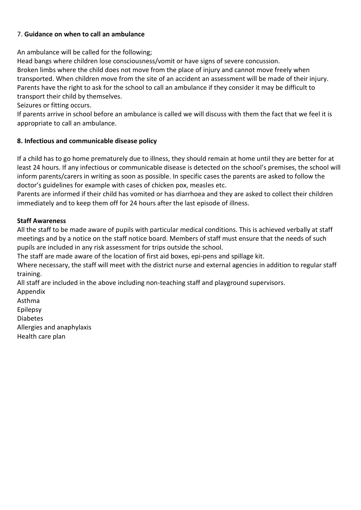## 7. **Guidance on when to call an ambulance**

An ambulance will be called for the following;

Head bangs where children lose consciousness/vomit or have signs of severe concussion. Broken limbs where the child does not move from the place of injury and cannot move freely when transported. When children move from the site of an accident an assessment will be made of their injury. Parents have the right to ask for the school to call an ambulance if they consider it may be difficult to transport their child by themselves.

Seizures or fitting occurs.

If parents arrive in school before an ambulance is called we will discuss with them the fact that we feel it is appropriate to call an ambulance.

## **8. Infectious and communicable disease policy**

If a child has to go home prematurely due to illness, they should remain at home until they are better for at least 24 hours. If any infectious or communicable disease is detected on the school's premises, the school will inform parents/carers in writing as soon as possible. In specific cases the parents are asked to follow the doctor's guidelines for example with cases of chicken pox, measles etc.

Parents are informed if their child has vomited or has diarrhoea and they are asked to collect their children immediately and to keep them off for 24 hours after the last episode of illness.

## **Staff Awareness**

All the staff to be made aware of pupils with particular medical conditions. This is achieved verbally at staff meetings and by a notice on the staff notice board. Members of staff must ensure that the needs of such pupils are included in any risk assessment for trips outside the school.

The staff are made aware of the location of first aid boxes, epi-pens and spillage kit.

Where necessary, the staff will meet with the district nurse and external agencies in addition to regular staff training.

All staff are included in the above including non-teaching staff and playground supervisors.

Appendix

Asthma

Epilepsy

Diabetes

Allergies and anaphylaxis

Health care plan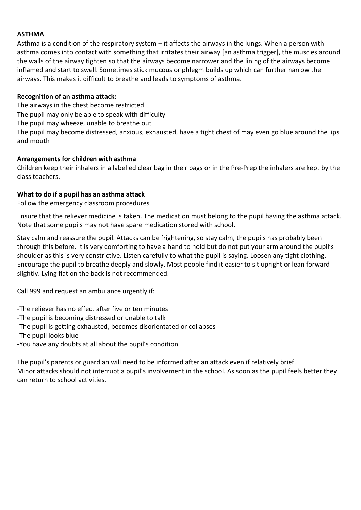## **ASTHMA**

Asthma is a condition of the respiratory system – it affects the airways in the lungs. When a person with asthma comes into contact with something that irritates their airway [an asthma trigger], the muscles around the walls of the airway tighten so that the airways become narrower and the lining of the airways become inflamed and start to swell. Sometimes stick mucous or phlegm builds up which can further narrow the airways. This makes it difficult to breathe and leads to symptoms of asthma.

#### **Recognition of an asthma attack:**

The airways in the chest become restricted

The pupil may only be able to speak with difficulty

The pupil may wheeze, unable to breathe out

The pupil may become distressed, anxious, exhausted, have a tight chest of may even go blue around the lips and mouth

## **Arrangements for children with asthma**

Children keep their inhalers in a labelled clear bag in their bags or in the Pre-Prep the inhalers are kept by the class teachers.

## **What to do if a pupil has an asthma attack**

Follow the emergency classroom procedures

Ensure that the reliever medicine is taken. The medication must belong to the pupil having the asthma attack. Note that some pupils may not have spare medication stored with school.

Stay calm and reassure the pupil. Attacks can be frightening, so stay calm, the pupils has probably been through this before. It is very comforting to have a hand to hold but do not put your arm around the pupil's shoulder as this is very constrictive. Listen carefully to what the pupil is saying. Loosen any tight clothing. Encourage the pupil to breathe deeply and slowly. Most people find it easier to sit upright or lean forward slightly. Lying flat on the back is not recommended.

Call 999 and request an ambulance urgently if:

-The reliever has no effect after five or ten minutes

- -The pupil is becoming distressed or unable to talk
- -The pupil is getting exhausted, becomes disorientated or collapses

-The pupil looks blue

-You have any doubts at all about the pupil's condition

The pupil's parents or guardian will need to be informed after an attack even if relatively brief. Minor attacks should not interrupt a pupil's involvement in the school. As soon as the pupil feels better they can return to school activities.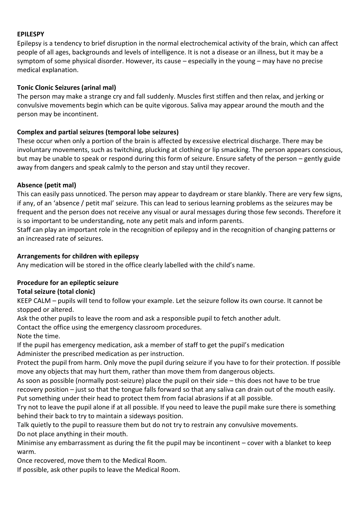## **EPILESPY**

Epilepsy is a tendency to brief disruption in the normal electrochemical activity of the brain, which can affect people of all ages, backgrounds and levels of intelligence. It is not a disease or an illness, but it may be a symptom of some physical disorder. However, its cause – especially in the young – may have no precise medical explanation.

## **Tonic Clonic Seizures (arinal mal)**

The person may make a strange cry and fall suddenly. Muscles first stiffen and then relax, and jerking or convulsive movements begin which can be quite vigorous. Saliva may appear around the mouth and the person may be incontinent.

## **Complex and partial seizures (temporal lobe seizures)**

These occur when only a portion of the brain is affected by excessive electrical discharge. There may be involuntary movements, such as twitching, plucking at clothing or lip smacking. The person appears conscious, but may be unable to speak or respond during this form of seizure. Ensure safety of the person – gently guide away from dangers and speak calmly to the person and stay until they recover.

## **Absence (petit mal)**

This can easily pass unnoticed. The person may appear to daydream or stare blankly. There are very few signs, if any, of an 'absence / petit mal' seizure. This can lead to serious learning problems as the seizures may be frequent and the person does not receive any visual or aural messages during those few seconds. Therefore it is so important to be understanding, note any petit mals and inform parents.

Staff can play an important role in the recognition of epilepsy and in the recognition of changing patterns or an increased rate of seizures.

## **Arrangements for children with epilepsy**

Any medication will be stored in the office clearly labelled with the child's name.

## **Procedure for an epileptic seizure**

## **Total seizure (total clonic)**

KEEP CALM – pupils will tend to follow your example. Let the seizure follow its own course. It cannot be stopped or altered.

Ask the other pupils to leave the room and ask a responsible pupil to fetch another adult.

Contact the office using the emergency classroom procedures.

Note the time.

If the pupil has emergency medication, ask a member of staff to get the pupil's medication Administer the prescribed medication as per instruction.

Protect the pupil from harm. Only move the pupil during seizure if you have to for their protection. If possible move any objects that may hurt them, rather than move them from dangerous objects.

As soon as possible (normally post-seizure) place the pupil on their side – this does not have to be true recovery position – just so that the tongue falls forward so that any saliva can drain out of the mouth easily. Put something under their head to protect them from facial abrasions if at all possible.

Try not to leave the pupil alone if at all possible. If you need to leave the pupil make sure there is something behind their back to try to maintain a sideways position.

Talk quietly to the pupil to reassure them but do not try to restrain any convulsive movements.

Do not place anything in their mouth.

Minimise any embarrassment as during the fit the pupil may be incontinent – cover with a blanket to keep warm.

Once recovered, move them to the Medical Room.

If possible, ask other pupils to leave the Medical Room.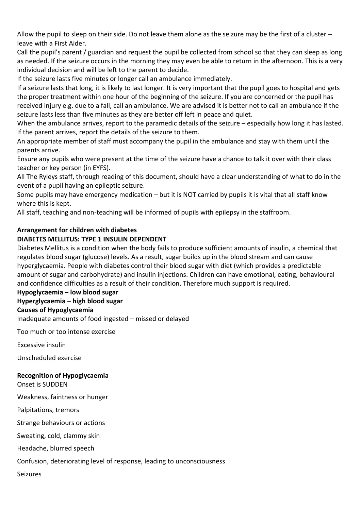Allow the pupil to sleep on their side. Do not leave them alone as the seizure may be the first of a cluster – leave with a First Aider.

Call the pupil's parent / guardian and request the pupil be collected from school so that they can sleep as long as needed. If the seizure occurs in the morning they may even be able to return in the afternoon. This is a very individual decision and will be left to the parent to decide.

If the seizure lasts five minutes or longer call an ambulance immediately.

If a seizure lasts that long, it is likely to last longer. It is very important that the pupil goes to hospital and gets the proper treatment within one hour of the beginning of the seizure. If you are concerned or the pupil has received injury e.g. due to a fall, call an ambulance. We are advised it is better not to call an ambulance if the seizure lasts less than five minutes as they are better off left in peace and quiet.

When the ambulance arrives, report to the paramedic details of the seizure – especially how long it has lasted. If the parent arrives, report the details of the seizure to them.

An appropriate member of staff must accompany the pupil in the ambulance and stay with them until the parents arrive.

Ensure any pupils who were present at the time of the seizure have a chance to talk it over with their class teacher or key person (in EYFS).

All The Ryleys staff, through reading of this document, should have a clear understanding of what to do in the event of a pupil having an epileptic seizure.

Some pupils may have emergency medication – but it is NOT carried by pupils it is vital that all staff know where this is kept.

All staff, teaching and non-teaching will be informed of pupils with epilepsy in the staffroom.

## **Arrangement for children with diabetes**

## **DIABETES MELLITUS: TYPE 1 INSULIN DEPENDENT**

Diabetes Mellitus is a condition when the body fails to produce sufficient amounts of insulin, a chemical that regulates blood sugar (glucose) levels. As a result, sugar builds up in the blood stream and can cause hyperglycaemia. People with diabetes control their blood sugar with diet (which provides a predictable amount of sugar and carbohydrate) and insulin injections. Children can have emotional, eating, behavioural and confidence difficulties as a result of their condition. Therefore much support is required.

#### **Hypoglycaemia – low blood sugar Hyperglycaemia – high blood sugar**

## **Causes of Hypoglycaemia**

Inadequate amounts of food ingested – missed or delayed

Too much or too intense exercise

Excessive insulin

Unscheduled exercise

## **Recognition of Hypoglycaemia**

Onset is SUDDEN

Weakness, faintness or hunger

Palpitations, tremors

Strange behaviours or actions

Sweating, cold, clammy skin

Headache, blurred speech

Confusion, deteriorating level of response, leading to unconsciousness

Seizures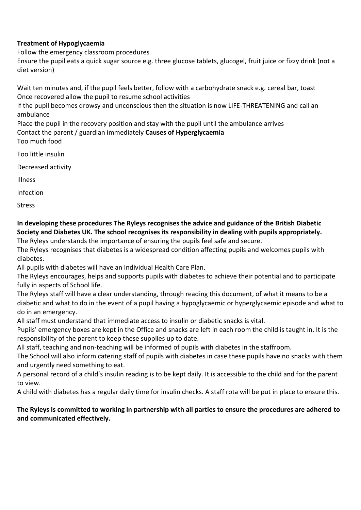## **Treatment of Hypoglycaemia**

Follow the emergency classroom procedures

Ensure the pupil eats a quick sugar source e.g. three glucose tablets, glucogel, fruit juice or fizzy drink (not a diet version)

Wait ten minutes and, if the pupil feels better, follow with a carbohydrate snack e.g. cereal bar, toast Once recovered allow the pupil to resume school activities

If the pupil becomes drowsy and unconscious then the situation is now LIFE-THREATENING and call an ambulance

Place the pupil in the recovery position and stay with the pupil until the ambulance arrives Contact the parent / guardian immediately **Causes of Hyperglycaemia**  Too much food

Too little insulin

Decreased activity

Illness

Infection

**Stress** 

**In developing these procedures The Ryleys recognises the advice and guidance of the British Diabetic Society and Diabetes UK. The school recognises its responsibility in dealing with pupils appropriately.**  The Ryleys understands the importance of ensuring the pupils feel safe and secure.

The Ryleys recognises that diabetes is a widespread condition affecting pupils and welcomes pupils with diabetes.

All pupils with diabetes will have an Individual Health Care Plan.

The Ryleys encourages, helps and supports pupils with diabetes to achieve their potential and to participate fully in aspects of School life.

The Ryleys staff will have a clear understanding, through reading this document, of what it means to be a diabetic and what to do in the event of a pupil having a hypoglycaemic or hyperglycaemic episode and what to do in an emergency.

All staff must understand that immediate access to insulin or diabetic snacks is vital.

Pupils' emergency boxes are kept in the Office and snacks are left in each room the child is taught in. It is the responsibility of the parent to keep these supplies up to date.

All staff, teaching and non-teaching will be informed of pupils with diabetes in the staffroom.

The School will also inform catering staff of pupils with diabetes in case these pupils have no snacks with them and urgently need something to eat.

A personal record of a child's insulin reading is to be kept daily. It is accessible to the child and for the parent to view.

A child with diabetes has a regular daily time for insulin checks. A staff rota will be put in place to ensure this.

## **The Ryleys is committed to working in partnership with all parties to ensure the procedures are adhered to and communicated effectively.**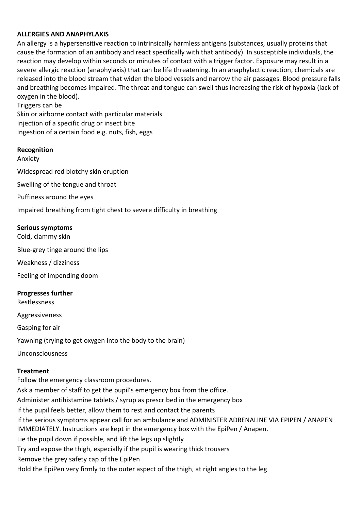#### **ALLERGIES AND ANAPHYLAXIS**

An allergy is a hypersensitive reaction to intrinsically harmless antigens (substances, usually proteins that cause the formation of an antibody and react specifically with that antibody). In susceptible individuals, the reaction may develop within seconds or minutes of contact with a trigger factor. Exposure may result in a severe allergic reaction (anaphylaxis) that can be life threatening. In an anaphylactic reaction, chemicals are released into the blood stream that widen the blood vessels and narrow the air passages. Blood pressure falls and breathing becomes impaired. The throat and tongue can swell thus increasing the risk of hypoxia (lack of oxygen in the blood).

Triggers can be Skin or airborne contact with particular materials Injection of a specific drug or insect bite Ingestion of a certain food e.g. nuts, fish, eggs

#### **Recognition**

Anxiety Widespread red blotchy skin eruption Swelling of the tongue and throat Puffiness around the eyes Impaired breathing from tight chest to severe difficulty in breathing

#### **Serious symptoms**

Cold, clammy skin Blue-grey tinge around the lips Weakness / dizziness Feeling of impending doom **Progresses further**  Restlessness

Aggressiveness

Gasping for air

Yawning (trying to get oxygen into the body to the brain)

Unconsciousness

#### **Treatment**

Follow the emergency classroom procedures. Ask a member of staff to get the pupil's emergency box from the office. Administer antihistamine tablets / syrup as prescribed in the emergency box If the pupil feels better, allow them to rest and contact the parents If the serious symptoms appear call for an ambulance and ADMINISTER ADRENALINE VIA EPIPEN / ANAPEN IMMEDIATELY. Instructions are kept in the emergency box with the EpiPen / Anapen. Lie the pupil down if possible, and lift the legs up slightly Try and expose the thigh, especially if the pupil is wearing thick trousers Remove the grey safety cap of the EpiPen Hold the EpiPen very firmly to the outer aspect of the thigh, at right angles to the leg